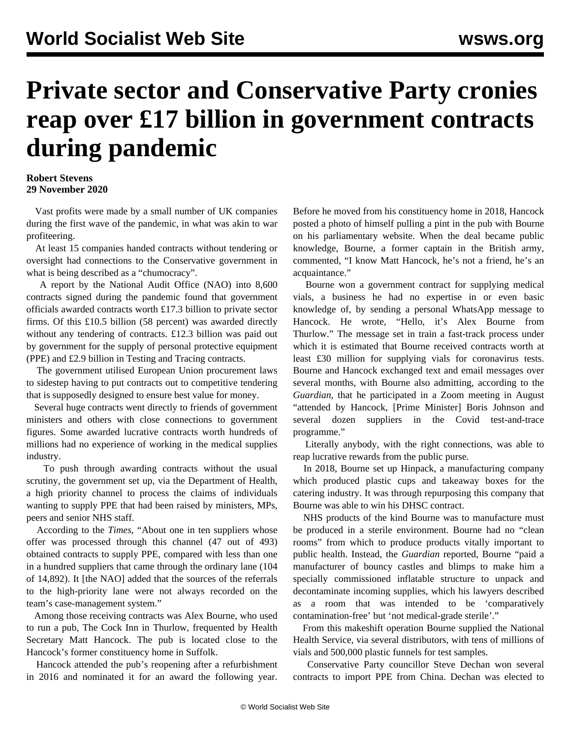## **Private sector and Conservative Party cronies reap over £17 billion in government contracts during pandemic**

## **Robert Stevens 29 November 2020**

 Vast profits were made by a small number of UK companies during the first wave of the pandemic, in what was akin to war profiteering.

 At least 15 companies handed contracts without tendering or oversight had connections to the Conservative government in what is being described as a "chumocracy".

 A report by the National Audit Office (NAO) into 8,600 contracts signed during the pandemic found that government officials awarded contracts worth £17.3 billion to private sector firms. Of this £10.5 billion (58 percent) was awarded directly without any tendering of contracts. £12.3 billion was paid out by government for the supply of personal protective equipment (PPE) and £2.9 billion in Testing and Tracing contracts.

 The government utilised European Union procurement laws to sidestep having to put contracts out to competitive tendering that is supposedly designed to ensure best value for money.

 Several huge contracts went directly to friends of government ministers and others with close connections to government figures. Some awarded lucrative contracts worth hundreds of millions had no experience of working in the medical supplies industry.

 To push through awarding contracts without the usual scrutiny, the government set up, via the Department of Health, a high priority channel to process the claims of individuals wanting to supply PPE that had been raised by ministers, MPs, peers and senior NHS staff.

 According to the *Times*, "About one in ten suppliers whose offer was processed through this channel (47 out of 493) obtained contracts to supply PPE, compared with less than one in a hundred suppliers that came through the ordinary lane (104 of 14,892). It [the NAO] added that the sources of the referrals to the high-priority lane were not always recorded on the team's case-management system."

 Among those receiving contracts was Alex Bourne, who used to run a pub, The Cock Inn in Thurlow, frequented by Health Secretary Matt Hancock. The pub is located close to the Hancock's former constituency home in Suffolk.

 Hancock attended the pub's reopening after a refurbishment in 2016 and nominated it for an award the following year.

Before he moved from his constituency home in 2018, Hancock posted a photo of himself pulling a pint in the pub with Bourne on his parliamentary website. When the deal became public knowledge, Bourne, a former captain in the British army, commented, "I know Matt Hancock, he's not a friend, he's an acquaintance."

 Bourne won a government contract for supplying medical vials, a business he had no expertise in or even basic knowledge of, by sending a personal WhatsApp message to Hancock. He wrote, "Hello, it's Alex Bourne from Thurlow." The message set in train a fast-track process under which it is estimated that Bourne received contracts worth at least £30 million for supplying vials for coronavirus tests. Bourne and Hancock exchanged text and email messages over several months, with Bourne also admitting, according to the *Guardian*, that he participated in a Zoom meeting in August "attended by Hancock, [Prime Minister] Boris Johnson and several dozen suppliers in the Covid test-and-trace programme."

 Literally anybody, with the right connections, was able to reap lucrative rewards from the public purse.

 In 2018, Bourne set up Hinpack, a manufacturing company which produced plastic cups and takeaway boxes for the catering industry. It was through repurposing this company that Bourne was able to win his DHSC contract.

 NHS products of the kind Bourne was to manufacture must be produced in a sterile environment. Bourne had no "clean rooms" from which to produce products vitally important to public health. Instead, the *Guardian* reported, Bourne "paid a manufacturer of bouncy castles and blimps to make him a specially commissioned inflatable structure to unpack and decontaminate incoming supplies, which his lawyers described as a room that was intended to be 'comparatively contamination-free' but 'not medical-grade sterile'."

 From this makeshift operation Bourne supplied the National Health Service, via several distributors, with tens of millions of vials and 500,000 plastic funnels for test samples.

 Conservative Party councillor Steve Dechan won several contracts to import PPE from China. Dechan was elected to